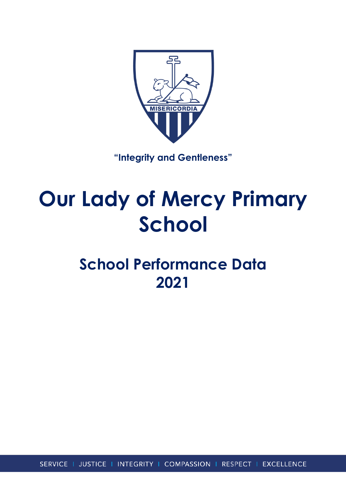

**"Integrity and Gentleness"**

# **Our Lady of Mercy Primary School**

# **School Performance Data 2021**

SERVICE | JUSTICE | INTEGRITY | COMPASSION | RESPECT | EXCELLENCE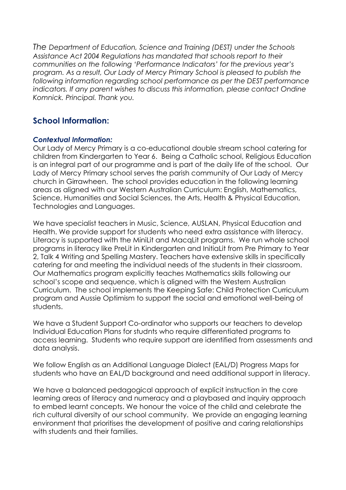*The Department of Education, Science and Training (DEST) under the Schools Assistance Act 2004 Regulations has mandated that schools report to their communities on the following 'Performance Indicators' for the previous year's program. As a result, Our Lady of Mercy Primary School is pleased to publish the following information regarding school performance as per the DEST performance indicators. If any parent wishes to discuss this information, please contact Ondine Komnick. Principal. Thank you.*

# **School Information:**

### *Contextual Information:*

Our Lady of Mercy Primary is a co-educational double stream school catering for children from Kindergarten to Year 6. Being a Catholic school, Religious Education is an integral part of our programme and is part of the daily life of the school. Our Lady of Mercy Primary school serves the parish community of Our Lady of Mercy church in Girrawheen. The school provides education in the following learning areas as aligned with our Western Australian Curriculum: English, Mathematics, Science, Humanities and Social Sciences, the Arts, Health & Physical Education, Technologies and Languages.

We have specialist teachers in Music, Science, AUSLAN, Physical Education and Health. We provide support for students who need extra assistance with literacy. Literacy is supported with the MiniLit and MacqLit programs. We run whole school programs in literacy like PreLit in Kindergarten and InitiaLit from Pre Primary to Year 2, Talk 4 Writing and Spelling Mastery. Teachers have extensive skills in specifically catering for and meeting the individual needs of the students in their classroom. Our Mathematics program explicitly teaches Mathematics skills following our school's scope and sequence, which is aligned with the Western Australian Curriculum. The school implements the Keeping Safe: Child Protection Curriculum program and Aussie Optimism to support the social and emotional well-being of students.

We have a Student Support Co-ordinator who supports our teachers to develop Individual Education Plans for studnts who require differentiated programs to access learning. Students who require support are identified from assessments and data analysis.

We follow English as an Additional Language Dialect (EAL/D) Progress Maps for students who have an EAL/D background and need additional support in literacy.

We have a balanced pedagogical approach of explicit instruction in the core learning areas of literacy and numeracy and a playbased and inquiry approach to embed learnt concepts. We honour the voice of the child and celebrate the rich cultural diversity of our school community. We provide an engaging learning environment that prioritises the development of positive and caring relationships with students and their families.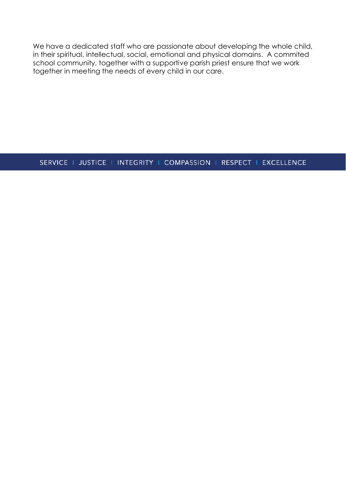We have a dedicated staff who are passionate about developing the whole child, in their spiritual, intellectual, social, emotional and physical domains. A commited school community, together with a supportive parish priest ensure that we work together in meeting the needs of every child in our care.

SERVICE | JUSTICE | INTEGRITY | COMPASSION | RESPECT | EXCELLENCE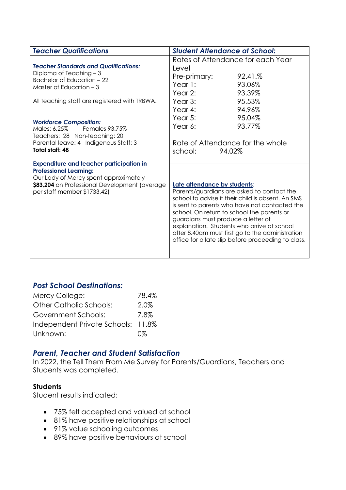| <b>Teacher Qualifications</b>                                                    | <b>Student Attendance at School:</b>       |                                                    |
|----------------------------------------------------------------------------------|--------------------------------------------|----------------------------------------------------|
|                                                                                  | Rates of Attendance for each Year          |                                                    |
| <b>Teacher Standards and Qualifications:</b>                                     | Level                                      |                                                    |
| Diploma of Teaching $-3$<br>Bachelor of Education - 22                           | Pre-primary:                               | 92.41.%                                            |
| Master of Education $-3$                                                         | Year $1$ :                                 | 93.06%                                             |
|                                                                                  | Year $2$ :                                 | 93.39%                                             |
| All teaching staff are registered with TRBWA.                                    | Year $3$ :                                 | 95.53%                                             |
|                                                                                  | Year 4:                                    | 94.96%                                             |
|                                                                                  | Year $5$ :                                 | 95.04%                                             |
| <b>Workforce Composition:</b><br>Males: 6.25%<br>Females 93.75%                  | Year 6:                                    | 93.77%                                             |
| Teachers: 28 Non-teaching: 20                                                    |                                            |                                                    |
| Parental leave: 4 Indigenous Staff: 3                                            | Rate of Attendance for the whole           |                                                    |
| Total staff: 48                                                                  | school:<br>94.02%                          |                                                    |
|                                                                                  |                                            |                                                    |
| <b>Expenditure and teacher participation in</b><br><b>Professional Learning:</b> |                                            |                                                    |
| Our Lady of Mercy spent approximately                                            |                                            |                                                    |
| \$83,204 on Professional Development (average                                    | Late attendance by students:               |                                                    |
| per staff member \$1733.42)                                                      | Parents/guardians are asked to contact the |                                                    |
|                                                                                  |                                            | school to advise if their child is absent. An SMS  |
|                                                                                  | school. On return to school the parents or | is sent to parents who have not contacted the      |
|                                                                                  | guardians must produce a letter of         |                                                    |
|                                                                                  | explanation. Students who arrive at school |                                                    |
|                                                                                  |                                            | after 8.40am must first go to the administration   |
|                                                                                  |                                            | office for a late slip before proceeding to class. |
|                                                                                  |                                            |                                                    |
|                                                                                  |                                            |                                                    |

# *Post School Destinations:*

| Mercy College:                     | 78.4% |
|------------------------------------|-------|
| <b>Other Catholic Schools:</b>     | 2.0%  |
| <b>Government Schools:</b>         | 7.8%  |
| Independent Private Schools: 11.8% |       |
| Unknown:                           | በ%    |

# *Parent, Teacher and Student Satisfaction*

In 2022, the Tell Them From Me Survey for Parents/Guardians, Teachers and Students was completed.

# **Students**

Student results indicated:

- 75% felt accepted and valued at school
- 81% have positive relationships at school
- 91% value schooling outcomes
- 89% have positive behaviours at school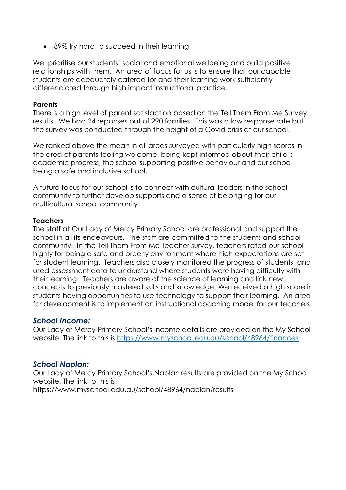• 89% try hard to succeed in their learning

We prioritise our students' social and emotional wellbeing and build positive relationships with them. An area of focus for us is to ensure that our capable students are adequately catered for and their learning work sufficiently differenciated through high impact instructional practice.

#### **Parents**

There is a high level of parent satisfaction based on the Tell Them From Me Survey results. We had 24 reponses out of 290 families. This was a low response rate but the survey was conducted through the height of a Covid crisis at our school.

We ranked above the mean in all areas surveyed with particularly high scores in the area of parents feeling welcome, being kept informed about their child's academic progress, the school supporting positive behaviour and our school being a safe and inclusive school.

A future focus for our school is to connect with cultural leaders in the school community to further develop supports and a sense of belonging for our multicultural school community.

#### **Teachers**

The staff at Our Lady of Mercy Primary School are professional and support the school in all its endeavours. The staff are committed to the students and school community. In the Tell Them From Me Teacher survey, teachers rated our school highly for being a safe and orderly environment where high expectations are set for student learning. Teachers also closely monitored the progress of students, and used assessment data to understand where students were having difficulty with their learning. Teachers are aware of the science of learning and link new concepts to previously mastered skills and knowledge. We received a high score in students having opportunities to use technology to support their learning. An area for development is to implement an instructional coaching model for our teachers.

#### *School Income:*

Our Lady of Mercy Primary School's income details are provided on the My School website. The link to this is <https://www.myschool.edu.au/school/48964/finances>

#### *School Naplan:*

Our Lady of Mercy Primary School's Naplan results are provided on the My School website. The link to this is: https://www.myschool.edu.au/school/48964/naplan/results